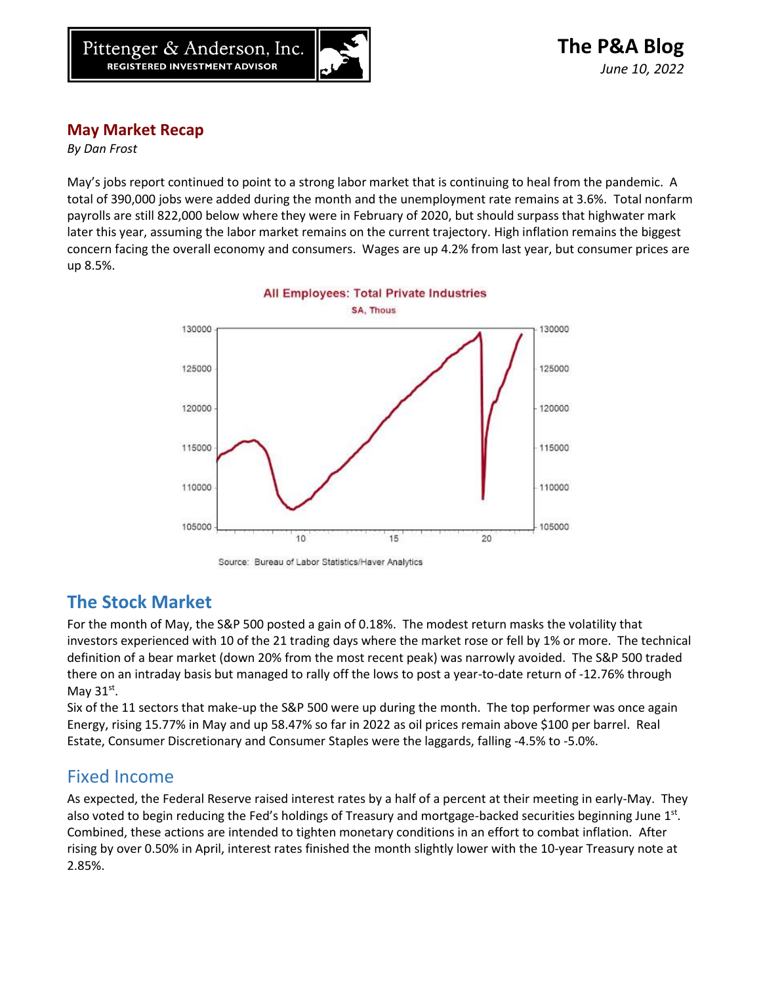

## **May Market Recap**

*By Dan Frost*

May's jobs report continued to point to a strong labor market that is continuing to heal from the pandemic. A total of 390,000 jobs were added during the month and the unemployment rate remains at 3.6%. Total nonfarm payrolls are still 822,000 below where they were in February of 2020, but should surpass that highwater mark later this year, assuming the labor market remains on the current trajectory. High inflation remains the biggest concern facing the overall economy and consumers. Wages are up 4.2% from last year, but consumer prices are up 8.5%.





## **The Stock Market**

For the month of May, the S&P 500 posted a gain of 0.18%. The modest return masks the volatility that investors experienced with 10 of the 21 trading days where the market rose or fell by 1% or more. The technical definition of a bear market (down 20% from the most recent peak) was narrowly avoided. The S&P 500 traded there on an intraday basis but managed to rally off the lows to post a year-to-date return of -12.76% through May  $31^\text{st}$ .

Six of the 11 sectors that make-up the S&P 500 were up during the month. The top performer was once again Energy, rising 15.77% in May and up 58.47% so far in 2022 as oil prices remain above \$100 per barrel. Real Estate, Consumer Discretionary and Consumer Staples were the laggards, falling -4.5% to -5.0%.

## Fixed Income

As expected, the Federal Reserve raised interest rates by a half of a percent at their meeting in early-May. They also voted to begin reducing the Fed's holdings of Treasury and mortgage-backed securities beginning June 1st. Combined, these actions are intended to tighten monetary conditions in an effort to combat inflation. After rising by over 0.50% in April, interest rates finished the month slightly lower with the 10-year Treasury note at 2.85%.